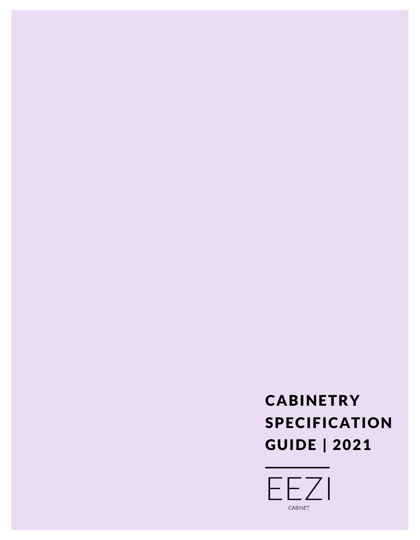# **CABINETRY** SPECIFICATION GUIDE | 2021

EEZI CABINET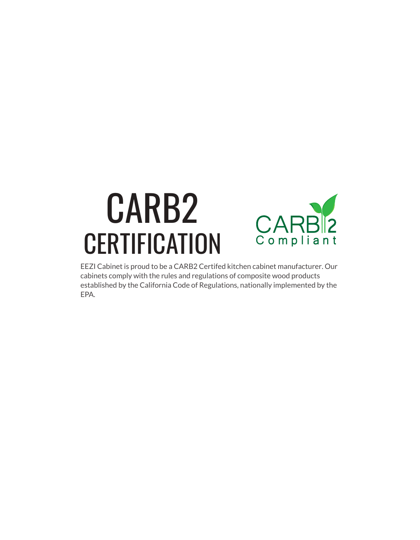# CARB2 **CERTIFICATION**



EEZI Cabinet is proud to be a CARB2 Certifed kitchen cabinet manufacturer. Our cabinets comply with the rules and regulations of composite wood products established by the California Code of Regulations, nationally implemented by the EPA.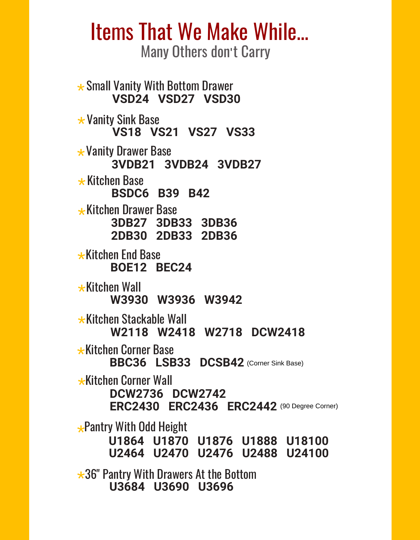# Items That We Make While...

Many Others don't Carry

Vanity Sink Base<br>!VS18 V **VS18 VS21 VS27 VS33** Vanity Drawer Base \* **3VDB21 3VDB24 3VDB27 Kitchen Base**<br>BSDC **BSDC6 B39 B42** Kitchen Drawer Base<br>3DB27 3DB **3DB27 3DB33 3DB36 2DB30 2DB33 2DB36** Kitchen Wall \* **W3930 W3936 W3942** Kitchen Corner Wall \* **DCW2736 DCW2742 ERC2430 ERC2436 ERC2442** (90 Degree Corner) **Kitchen End Base**<br>BOF12 F **BOE12 BEC24** \*36″ Pantry With Drawers At the Bottom<br>19696 U3684 U3690 U3696 **U3684 U3690 U3696** Pantry With Odd Height<br>19864 - 111870 **U1864 U1870 U1876 U1888 U18100 U2464 U2470 U2476 U2488 U24100**  Small Vanity With Bottom Drawer \* **VSD24 VSD27 VSD30** Kitchen Corner Base \* BBC36 LSB33 DCSB42 (Corner Sink Base) kitchen Stackable Wall⊀<br>w2118\_w241 **W2118 W2418 W2718 DCW2418**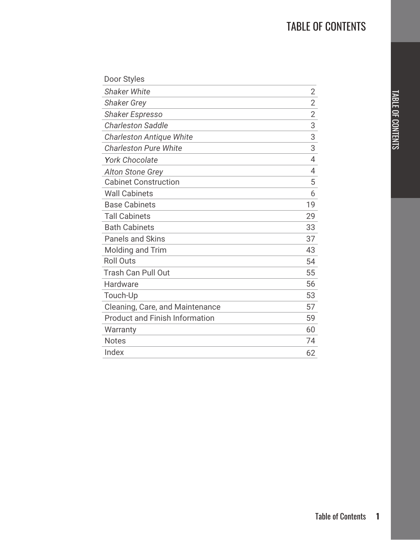| Door Styles                           |                |
|---------------------------------------|----------------|
| <b>Shaker White</b>                   | $\overline{2}$ |
| <b>Shaker Grey</b>                    | $\overline{2}$ |
| <b>Shaker Espresso</b>                | $\overline{2}$ |
| <b>Charleston Saddle</b>              | 3              |
| <b>Charleston Antique White</b>       | 3              |
| <b>Charleston Pure White</b>          | 3              |
| <b>York Chocolate</b>                 | $\overline{4}$ |
| <b>Alton Stone Grey</b>               | 4              |
| <b>Cabinet Construction</b>           | 5              |
| <b>Wall Cabinets</b>                  | 6              |
| <b>Base Cabinets</b>                  | 19             |
| <b>Tall Cabinets</b>                  | 29             |
| <b>Bath Cabinets</b>                  | 33             |
| <b>Panels and Skins</b>               | 37             |
| <b>Molding and Trim</b>               | 43             |
| <b>Roll Outs</b>                      | 54             |
| <b>Trash Can Pull Out</b>             | 55             |
| Hardware                              | 56             |
| Touch-Up                              | 53             |
| Cleaning, Care, and Maintenance       | 57             |
| <b>Product and Finish Information</b> | 59             |
| Warranty                              | 60             |
| <b>Notes</b>                          | 74             |
| Index                                 | 62             |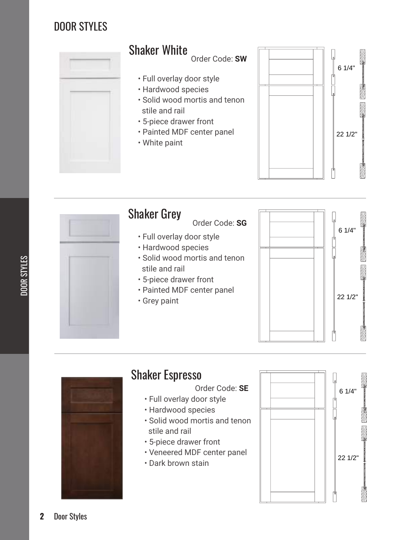### DOOR STYLES







### Shaker Espresso

- Order Code: **SE**
- Full overlay door style
- Hardwood species
- Solid wood mortis and tenon stile and rail
- 5-piece drawer front
- Veneered MDF center panel
- Dark brown stain

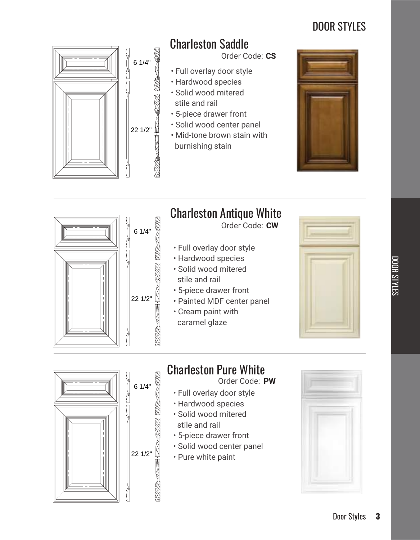# DOOR STYLES







# Charleston Pure White

Order Code: **PW**

- Full overlay door style
- Hardwood species
- Solid wood mitered stile and rail
- 5-piece drawer front
- Solid wood center panel
- Pure white paint

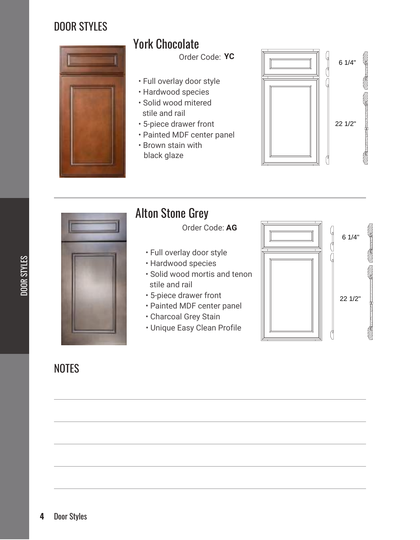### DOOR STYLES



# York Chocolate

Order Code: **YC**

- Full overlay door style
- Hardwood species
- Solid wood mitered stile and rail
- 5-piece drawer front
- Painted MDF center panel
- Brown stain with black glaze





**NOTES**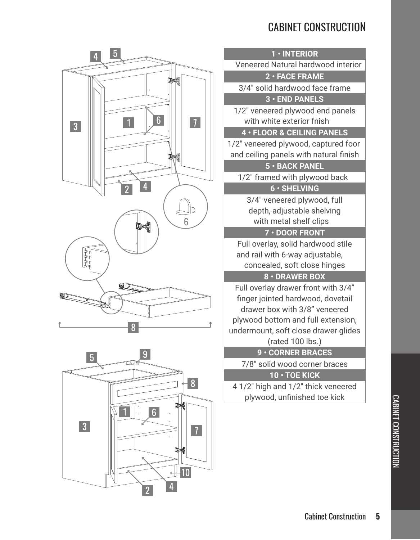## CABINET CONSTRUCTION

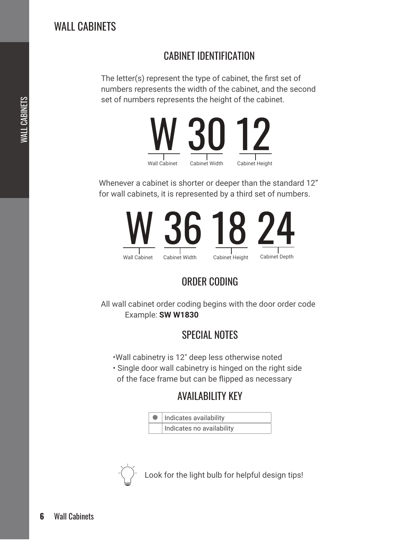#### CABINET IDENTIFICATION

The letter(s) represent the type of cabinet, the first set of numbers represents the width of the cabinet, and the second set of numbers represents the height of the cabinet.



Whenever a cabinet is shorter or deeper than the standard 12" for wall cabinets, it is represented by a third set of numbers.



### ORDER CODING

All wall cabinet order coding begins with the door order code Example: **SW W1830**

#### SPECIAL NOTES

•Wall cabinetry is 12" deep less otherwise noted

• Single door wall cabinetry is hinged on the right side of the face frame but can be flipped as necessary

### AVAILABILITY KEY



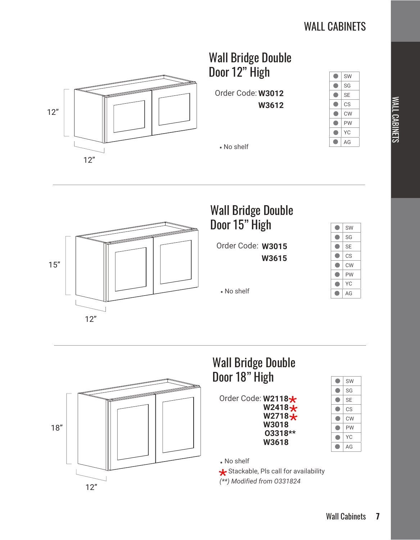

12"

12"

# Wall Bridge Double Door 12" High

Order Code: **W3012 W3612**

| <b>SW</b> |
|-----------|
| SG        |
| <b>SE</b> |
| CS        |
| <b>CW</b> |
| PW        |
| YС        |
| AG        |

• No shelf



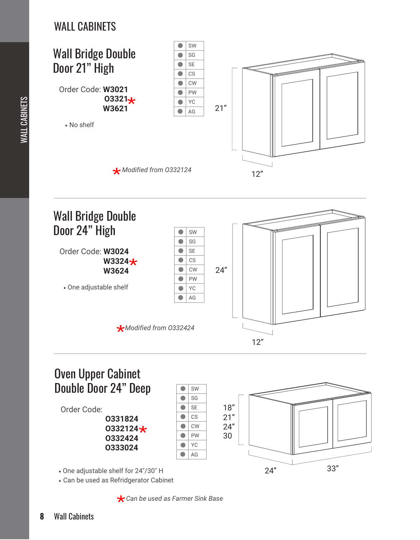



### Oven Upper Cabinet Double Door 24" Deep

Order Code: **O331824 0332124 ★<br>0332124 ★ O332424**



• One adjustable shelf for 24"/30" H

• Can be used as Refridgerator Cabinet

**O333024**

*Can be used as Farmer Sink Base* \*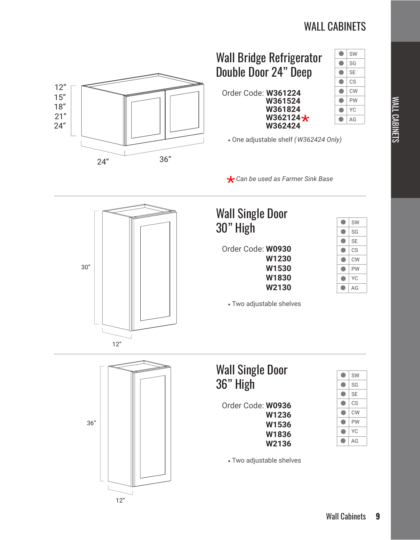



Order Code: **W0930 W1230 W1530 W1830 W2130**

| SW        |
|-----------|
| SG        |
| <b>SE</b> |
| CS        |
| <b>CW</b> |
| PW        |
| YС        |
| AG        |
|           |

• Two adjustable shelves



12"

30"

## Wall Single Door 36" High

Order Code: **W0936 W1236 W1536 W1836 W2136**

| SW        |
|-----------|
| SG        |
| <b>SE</b> |
| СS        |
| <b>CW</b> |
| PW        |
| YС        |
| AG        |

• Two adjustable shelves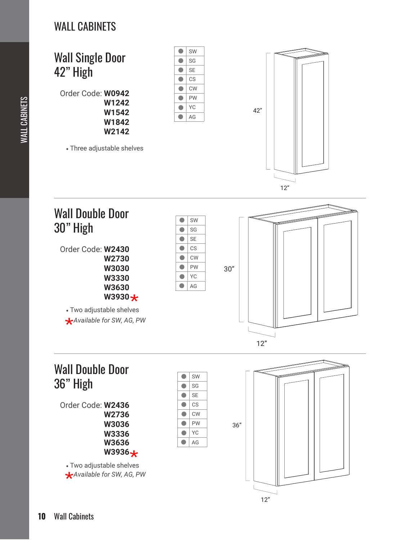



Wall Double Door  $\bullet$ SW 30" High  $\bullet$ SG SE  $\bullet$ Order Code: **W2430**  $\bullet$ CS  **W2730**  $\bullet$ CW  $\bullet$ PW  **W3030** 30"  $\bullet$ YC  **W3330**  $\bullet$ AG  **W3630 W3930 ★**<br>stable shelves • Two adjustable shelves *Available for SW, AG, PW* \* 12"

## Wall Double Door 36" High

Order Code: **W2436 W2736 W3036 W3336 W3636** × **W3936**<br>stable shelves

• Two adjustable shelves

*Available for SW, AG, PW* \*

|  | SW        |  |
|--|-----------|--|
|  | SG        |  |
|  | <b>SE</b> |  |
|  | СS        |  |
|  | <b>CW</b> |  |
|  | PW        |  |
|  | YС        |  |
|  | AG        |  |

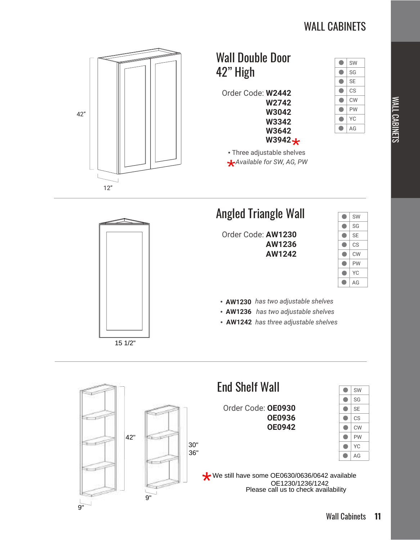



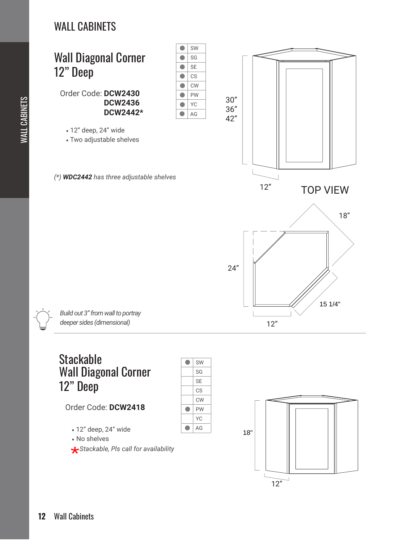

### Wall Diagonal Corner 12" Deep **Stackable**

Order Code: **DCW2418**

- 12" deep, 24" wide
- No shelves
- *Stackable, Pls call for availability* \*



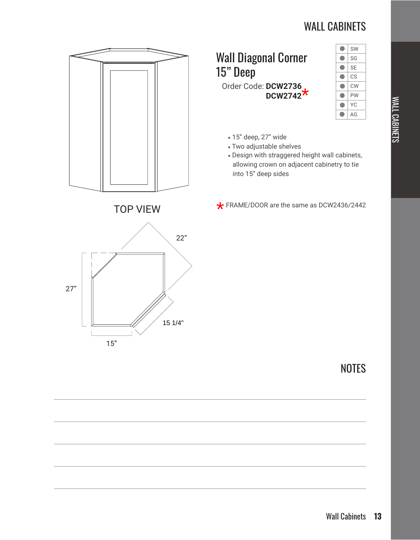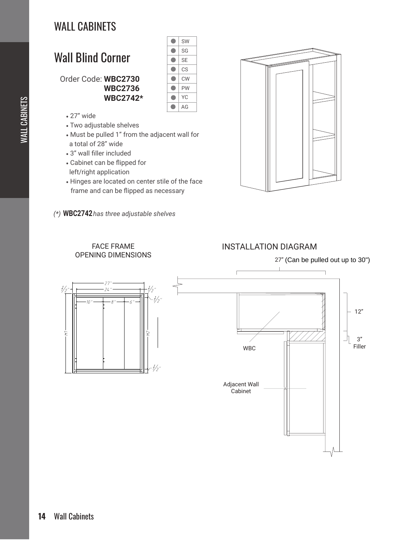# Wall Blind Corner Order Code: **WBC2730 WBC2736**

|  | SG        |
|--|-----------|
|  | <b>SE</b> |
|  | СS        |
|  | <b>CW</b> |
|  | PW        |
|  | YС        |
|  | AG        |

SW

#### • 27" wide

- Two adjustable shelves
- Must be pulled 1" from the adjacent wall for a total of 28" wide

 **WBC2742\***

- 3" wall filler included
- Cabinet can be flipped for left/right application
- Hinges are located on center stile of the face frame and can be flipped as necessary
- *(\*)* <code>WBC2742</code> has three adjustable shelves



# INSTALLATION DIAGRAM 27" (Can be pulled out up to 30") $24$ 12" 57 3" Filler WBC Adjacent Wall Cabinet

#### FACE FRAME OPENING DIMENSIONS

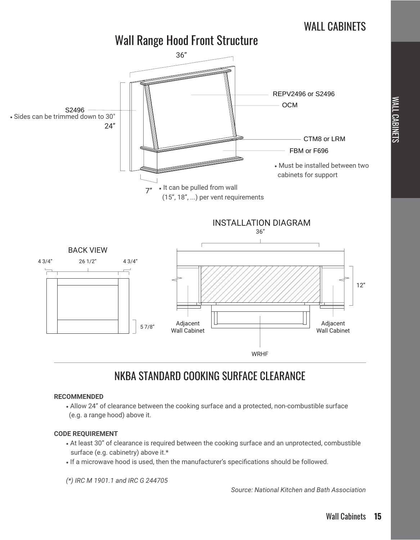WALL CABINETS

**WALL CABINETS** 



### NKBA STANDARD COOKING SURFACE CLEARANCE

#### **RECOMMENDED**

• Allow 24" of clearance between the cooking surface and a protected, non-combustible surface (e.g. a range hood) above it.

#### **CODE REQUIREMENT**

- At least 30" of clearance is required between the cooking surface and an unprotected, combustible surface (e.g. cabinetry) above it.\*
- If a microwave hood is used, then the manufacturer's specifications should be followed.

*(\*) IRC M 1901.1 and IRC G 244705*

*Source: National Kitchen and Bath Association*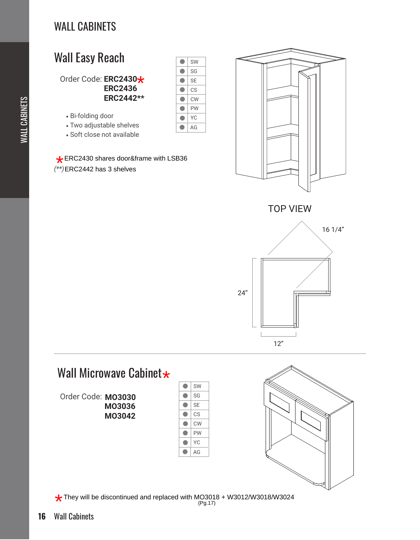# Wall Easy Reach

Order Code: **ERC2430** \*  **ERC2436 ERC2442\*\***

- Bi-folding door
- Two adjustable shelves
- Soft close not available

#### <del>★</del> ERC2430 shares door&f<br>(<sup>\*\*)</sup> ERC2442 has 3 shelves  $★$  **ERC2430 shares door&frame with LSB36**



TOP VIEW



#### Wall Microwave Cabinet $\star$  $\bullet$ SW Order Code: **MO3030**  $\bullet$ SG  $\bullet$  **MO3036** SE  **MO3042**  $\bullet$ CS CW  $\bullet$  $\bullet$ PW  $\bullet$ YC  $\bullet$ AG **\*** They will be discontinued and replaced with MO3018 + W3012/W3018/W3024

SW SG SE CS CW PW YC AG

 $\bullet$  $\bullet$  $\bullet$  $\bullet$ 

 $\bullet$  $\bullet$  $\bullet$  $\bullet$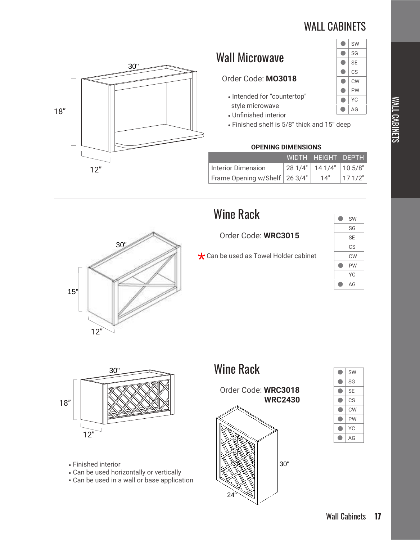SW SG SE CS CW PW YC AG

 $\bullet$  $\bullet$  $\bullet$  $\bullet$  $\bullet$  $\bullet$  $\bullet$ 

 $\bullet$ 



# Wall Microwave

#### Order Code: **MO3018**

- Intended for "countertop" style microwave
- Unfinished interior
- Finished shelf is 5/8" thick and 15" deep

#### **OPENING DIMENSIONS**

|                                 | WIDTH HEIGHT DEPTH           |         |
|---------------------------------|------------------------------|---------|
| Interior Dimension              | $281/4"$   14 1/4"   10 5/8" |         |
| Frame Opening w/Shelf   26 3/4" | 14"                          | 17 1/2" |

# Wine Rack

Order Code: **WRC3015**

 $\bigstar$  Can be used as Towel Holder cabinet

| SW        |
|-----------|
| SG        |
| <b>SE</b> |
| СS        |
| <b>CW</b> |
| PW        |
| YС        |
| AG        |



30"

# Wine Rack

Order Code: **WRC3018** 18" **INSTEAD IN STRAIN SECTION** 



| SW        |
|-----------|
| SG        |
| <b>SE</b> |
| CS        |
| <b>CW</b> |
| PW        |
| YС        |
| AG        |
|           |

• Finished interior • Can be used horizontally or vertically

 $12"$ 

• Can be used in a wall or base application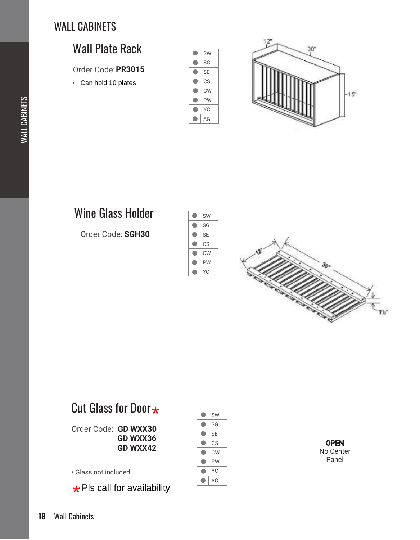# Wall Plate Rack

Order Code: **PR3015**

• Can hold 10 plates





# Wine Glass Holder

Order Code: **SGH30**



# Cut Glass for Door \*

Order Code: **GD WXX30 GD WXX36 GD WXX42**

\* Pls call for availability

• Glass not included

 $\bullet$ SW  $\bullet$ SG  $\bullet$ SE  $\bullet$ CS  $\bullet$ CW PW  $\bullet$  $\bullet$ YC  $\bullet$ AG

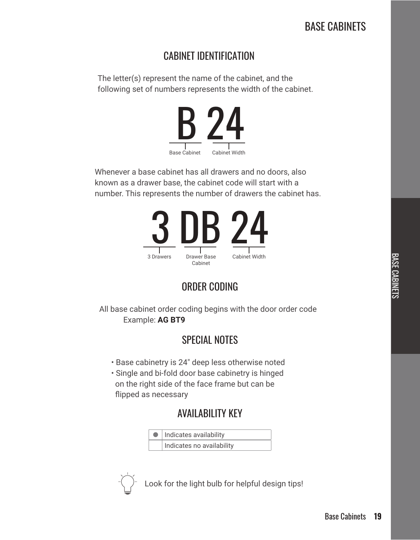### CABINET IDENTIFICATION

The letter(s) represent the name of the cabinet, and the following set of numbers represents the width of the cabinet.



Whenever a base cabinet has all drawers and no doors, also known as a drawer base, the cabinet code will start with a number. This represents the number of drawers the cabinet has.



### ORDER CODING

All base cabinet order coding begins with the door order code Example: **AG BT9**

### SPECIAL NOTES

- Base cabinetry is 24" deep less otherwise noted
- Single and bi-fold door base cabinetry is hinged on the right side of the face frame but can be flipped as necessary

### AVAILABILITY KEY





Look for the light bulb for helpful design tips!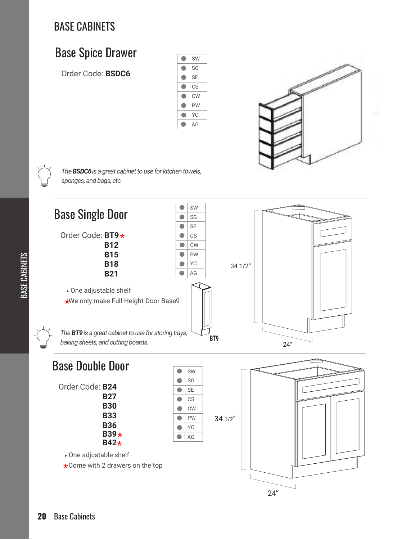# Base Spice Drawer

Order Code: **BSDC6**

| SW        |
|-----------|
| SG        |
| <b>SE</b> |
| CS        |
| <b>CW</b> |
| PW        |
| YС        |
| AG        |



*The BSDC6 is a great cabinet to use for kitchen towels, sponges, and bags, etc.*

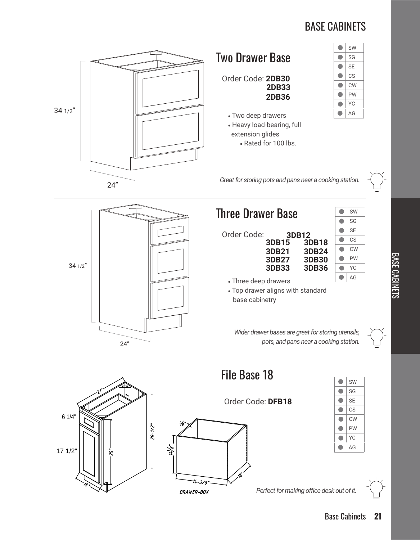

 $14 - 3/8$ DRAWER-BOX

*Perfect for making office desk out of it.*

Base Cabinets **21**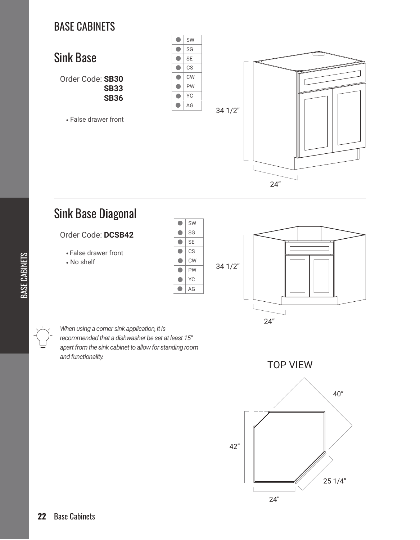

# Sink Base Diagonal



*recommended that a dishwasher be set at least 15" apart from the sink cabinet to allow for standing room and functionality.*

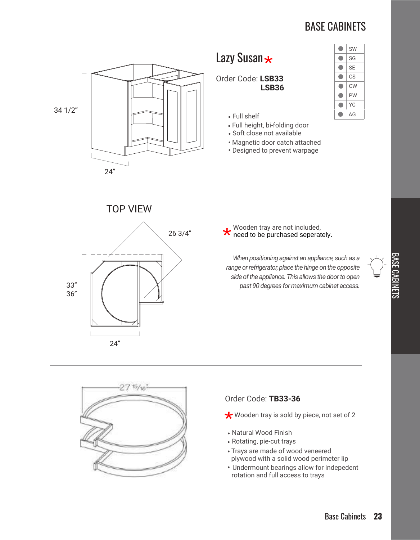

# Lazy Susan <del>×</del>

#### Order Code: **LSB33 LSB36**



- Full shelf
- Full height, bi-folding door
- Soft close not available
- Magnetic door catch attached
- Designed to prevent warpage

TOP VIEW



\* Wooden tray are not included, need to be purchased seperately.

*When positioning against an appliance, such as a range or refrigerator, place the hinge on the opposite side of the appliance. This allows the door to open past 90 degrees for maximum cabinet access.*



#### Order Code: **TB33-36**

\* Wooden tray is sold by piece, not set of 2

- Natural Wood Finish
- Rotating, pie-cut trays
- Trays are made of wood veneered plywood with a solid wood perimeter lip
- Undermount bearings allow for indepedent rotation and full access to trays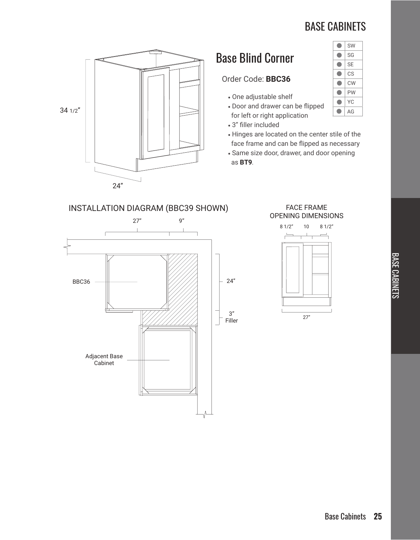$\bullet$  $\bullet$  $\bullet$  $\bullet$  $\bullet$  $\bullet$  $\bullet$  $\bullet$ 

SW SG SE CS CW PW YC AG



# Base Blind Corner

#### Order Code: **BBC36**

- One adjustable shelf
- Door and drawer can be flipped for left or right application
- 3" filler included
- Hinges are located on the center stile of the face frame and can be flipped as necessary
- Same size door, drawer, and door opening as **BT9**.



# **BASE CABINETS** BASE CABINETS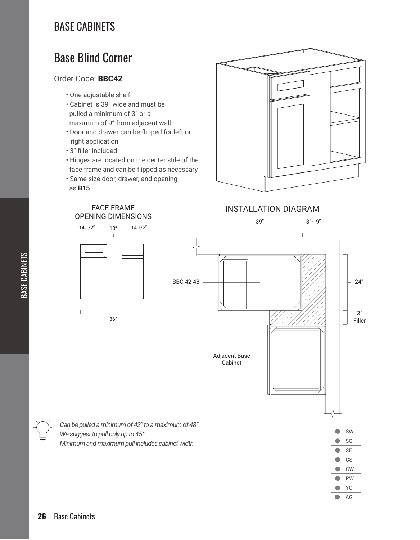# Base Blind Corner

#### Order Code: **BBC42**

- One adjustable shelf
- Cabinet is 39" wide and must be pulled a minimum of 3" or a maximum of 9" from adjacent wall
- Door and drawer can be flipped for left or right application
- 3" filler included
- Hinges are located on the center stile of the face frame and can be flipped as necessary

 $\overline{a}$ 

• Same size door, drawer, and opening

FACE FRAME OPENING DIMENSIONS

 $141/2"$   $10"$   $141/2"$ 

36"

as **B15**



INSTALLATION DIAGRAM



 $\bullet$ SG  $\bullet$ SE  $\bullet$ CS CW  $\bullet$  $\bullet$ PW  $\bullet$ YC  $\bullet$ AG

**BASE CABINETS** BASE CABINETS

*Can be pulled a minimum of 42" to a maximum of 48" We suggest to pull only up to 45" Minimum and maximum pull includes cabinet width* " SW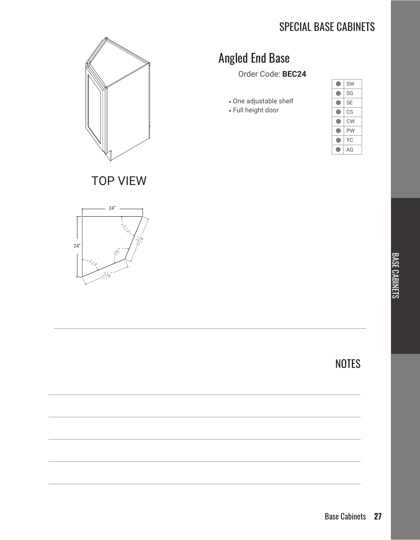# Angled End Base

Order Code: **BEC24**

- One adjustable shelf
- Full height door

| SW        |  |
|-----------|--|
| SG        |  |
| <b>SE</b> |  |
| СS        |  |
| <b>CW</b> |  |
| PW        |  |
| YС        |  |
| AG        |  |





## **NOTES**

BASE CABINETS

**BASE CABINETS** 

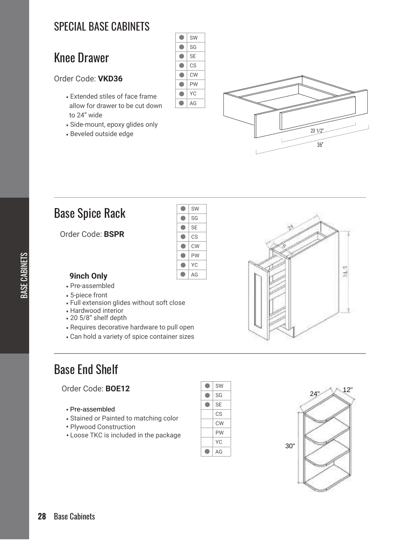### SPECIAL BASE CABINETS

# Knee Drawer

#### Order Code: **VKD36**

- Extended stiles of face frame allow for drawer to be cut down to 24" wide
- Side-mount, epoxy glides only
- Beveled outside edge



# Base Spice Rack

#### Order Code: **BSPR**

| SW        |
|-----------|
| SG        |
| <b>SE</b> |
| CS        |
| <b>CW</b> |
| PW        |
| YC        |
| AG        |

SW SG **SE** CS CW PW YC AG

 $\bullet$  $\bullet$  $\bullet$  $\bullet$  $\bullet$  $\bullet$  $\bullet$  $\bullet$ 

#### **9inch Only**

- Pre-assembled
- 5-piece front
- Full extension glides without soft close
- Hardwood interior
- 20 5/8" shelf depth
- Requires decorative hardware to pull open
- Can hold a variety of spice container sizes

# Base End Shelf

#### Order Code: **BOE12**

- Pre-assembled
- Stained or Painted to matching color
- Plywood Construction
- Loose TKC is included in the package





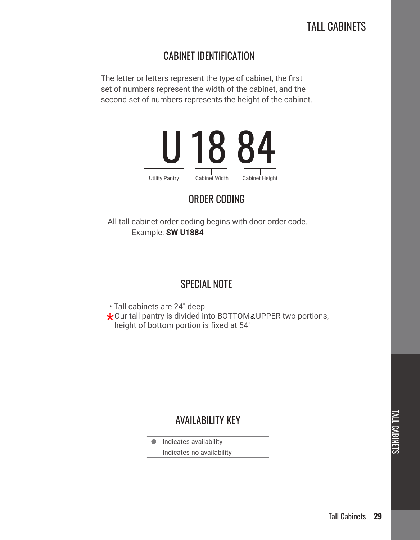#### CABINET IDENTIFICATION

The letter or letters represent the type of cabinet, the first set of numbers represent the width of the cabinet, and the second set of numbers represents the height of the cabinet.



### ORDER CODING

All tall cabinet order coding begins with door order code. Example: **SW U1884**

### SPECIAL NOTE

• Tall cabinets are 24" deep

\* Our tall pantry is divided into BOTTOM& UPPER two portions, height of bottom portion is fixed at 54" height of bottom portion is fixed at 54"

### AVAILABILITY KEY

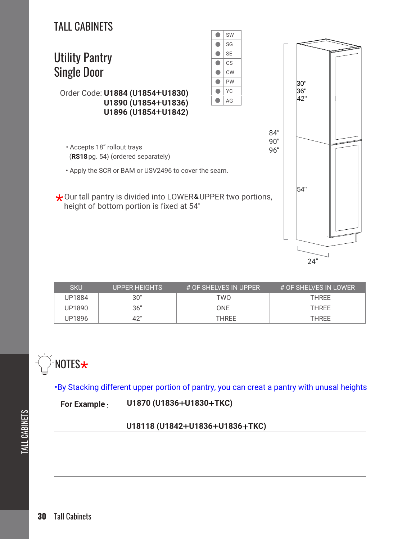

| <b>SKU</b> | UPPER HEIGHTS | # OF SHELVES IN UPPER | # OF SHELVES IN LOWER |
|------------|---------------|-----------------------|-----------------------|
| UP1884     | 30''          | TWO                   | <b>THRFF</b>          |
| UP1890     | 36″           | ONE                   | <b>THREE</b>          |
| UP1896     | 42"           | THRFF                 | <b>THRFF</b>          |



•By Stacking different upper portion of pantry, you can creat a pantry with unusal heights

**For Example:** : U1870 (U1836+U1830+TKC)

#### U18118 (U1842+U1836+U1836+TKC)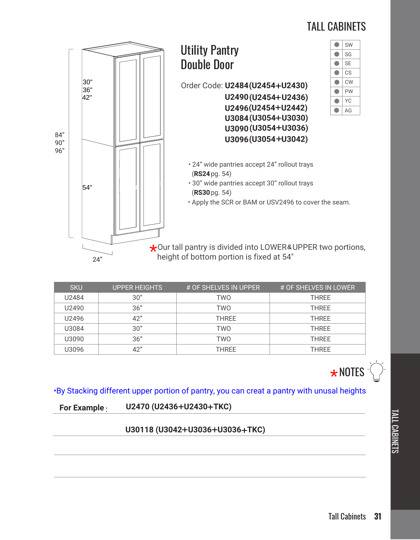

| <b>SKU</b> | <b>UPPER HEIGHTS</b> | # OF SHELVES IN UPPER | # OF SHELVES IN LOWER |
|------------|----------------------|-----------------------|-----------------------|
| U2484      | 30"                  | TWO                   | <b>THRFF</b>          |
| U2490      | 36"                  | TWO                   | <b>THRFF</b>          |
| U2496      | 42"                  | <b>THREE</b>          | <b>THRFF</b>          |
| U3084      | 30"                  | TWO                   | <b>THREE</b>          |
| U3090      | 36"                  | TWO                   | <b>THRFF</b>          |
| U3096      | 42"                  | THREE                 | <b>THREE</b>          |

\* NOTES

•By Stacking different upper portion of pantry, you can creat a pantry with unusal heights

**For Example:** : U2470 (U2436+U2430+TKC)

#### U30118 (U3042+U3036+U3036+TKC)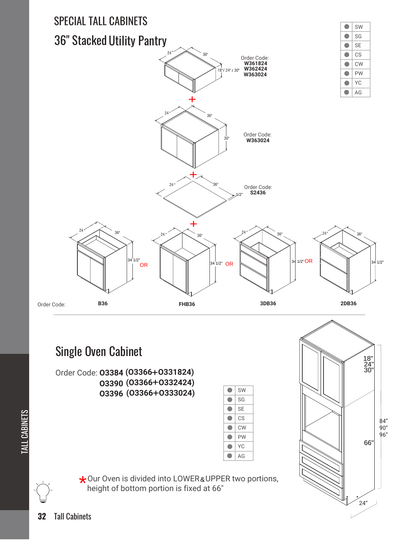

# Single Oven Cabinet

Order Code: 03384 (03366+0331824) 03390 (03366+0332424) 03396 (03366+0333024)





\* Our Oven is divided into LOWER & UPPER two portions, height of bottom portion is fixed at 66" height of bottom portion is fixed at 66"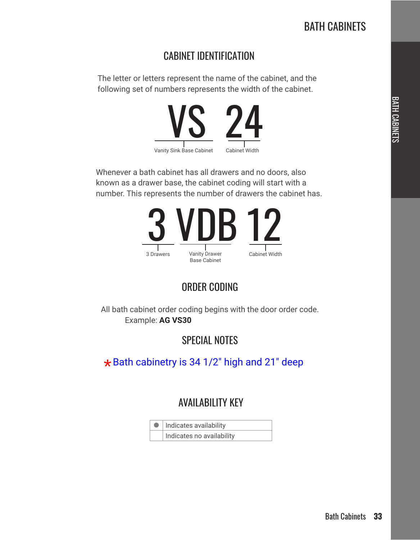### CABINET IDENTIFICATION

The letter or letters represent the name of the cabinet, and the following set of numbers represents the width of the cabinet.



Whenever a bath cabinet has all drawers and no doors, also known as a drawer base, the cabinet coding will start with a number. This represents the number of drawers the cabinet has.



### ORDER CODING

All bath cabinet order coding begins with the door order code. Example: **AG VS30**

### SPECIAL NOTES

 $\star$  Bath cabinetry is 34 1/2" high and 21" deep

### AVAILABILITY KEY

| Indicates availability    |  |
|---------------------------|--|
| Indicates no availability |  |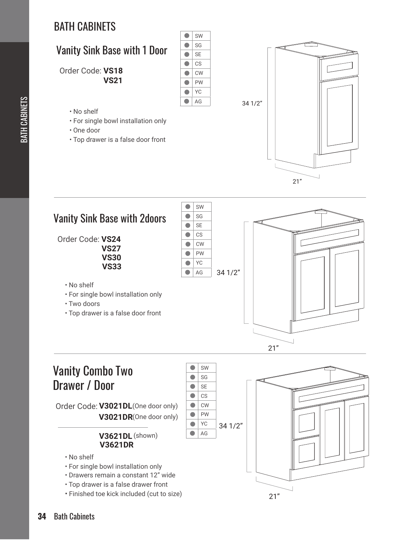## BATH CABINETS



PW YC AG

 $\bullet$  $\bullet$  $\bullet$ 



• For single bowl installation only

 **VS30**

 **VS33**

- Two doors
- Top drawer is a false door front



# Vanity Combo Two Drawer / Door

Order Code: **V3021DL** (One door only) **V3021DR**(One door only)

#### **V3621DL** (shown)  **V3621DR**

- No shelf
- For single bowl installation only
- Drawers remain a constant 12" wide
- Top drawer is a false drawer front
- Finished toe kick included (cut to size)



SW

 $\bullet$ 

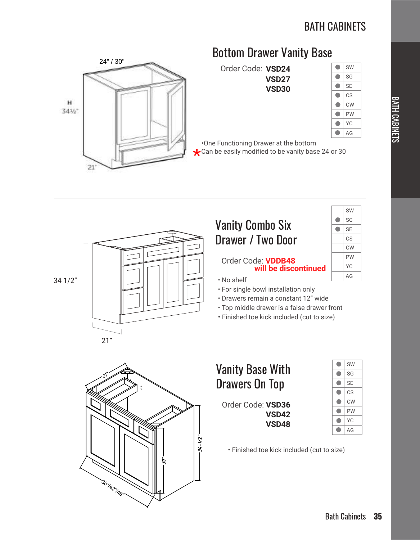

# Bottom Drawer Vanity Base

Order Code: **VSD24 VSD27 VSD30**

| SW        |
|-----------|
| SG        |
| <b>SE</b> |
| CS        |
| CW        |
| PW        |
| YС        |
| AG        |
|           |

•One Functioning Drawer at the bottom  $\star$  Can be easily modified to be vanity base 24 or 30





# Vanity Base With Drawers On Top

Order Code: **VSD36 VSD42 VSD48**



• Finished toe kick included (cut to size)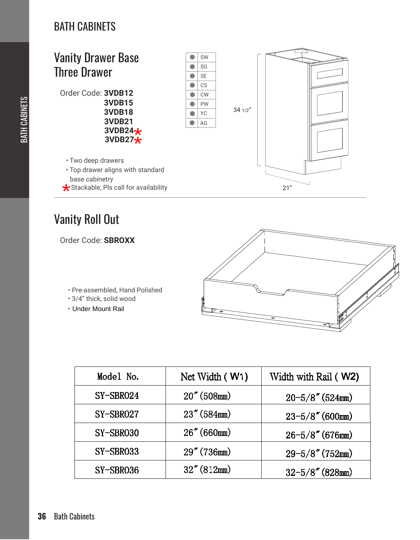### BATH CABINETS



\* Stackable, Pls call for availability

# Vanity Roll Out

Order Code: **SBROXX**



- Pre-assembled, Hand Polished
- 3/4" thick, solid wood
- Under Mount Rail

| Model No.   | Net Width (W1) | Width with Rail (W2) |
|-------------|----------------|----------------------|
| SY-SBR024   | 20''(508mm)    | $20 - 5/8''$ (524mm) |
| SY-SBR027   | 23''(584mm)    | $23 - 5/8''$ (600mm) |
| SY-SBR030   | 26''(660mm)    | $26 - 5/8''$ (676mm) |
| $SY-SBRO33$ | 29''(736)      | $29 - 5/8''$ (752mm) |
| SY-SBR036   | 32'' (812mm)   | $32 - 5/8''$ (828mm) |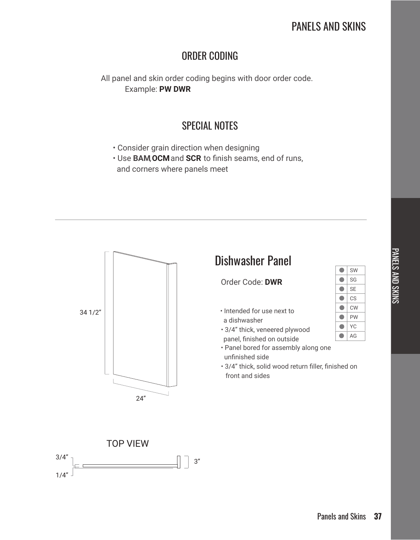#### ORDER CODING

All panel and skin order coding begins with door order code. Example: **PW DWR**

### SPECIAL NOTES

- Consider grain direction when designing
- Use **BAM**, **OCM** and **SCR** to finish seams, end of runs, and corners where panels meet



# Dishwasher Panel

Order Code: **DWR**

- Intended for use next to a dishwasher
- 3/4" thick, veneered plywood
- panel, finished on outside

• Panel bored for assembly along one unfinished side

 • 3/4" thick, solid wood return filler, finished on front and sides



PANELS AND SKINS

**PANELS AND SKINS** 

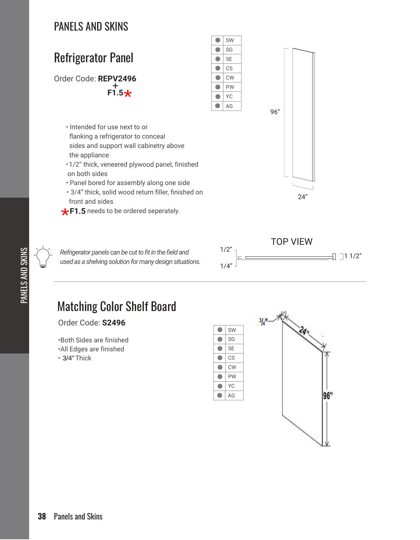

*Refrigerator panels can be cut to fit in the field and used as a shelving solution for many design situations.*



## Matching Color Shelf Board

Order Code: **S2496**

•Both Sides are finished •All Edges are finished

 $\cdot$  3/4" Thick

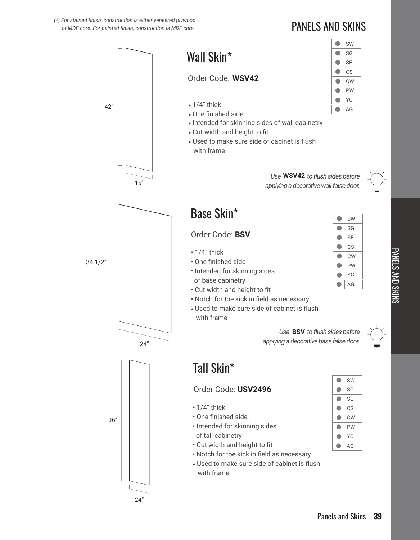*(\*) For stained finish, construction is either veneered plywood or MDF core. For painted finish, construction is MDF core.*

## PANELS AND SKINS

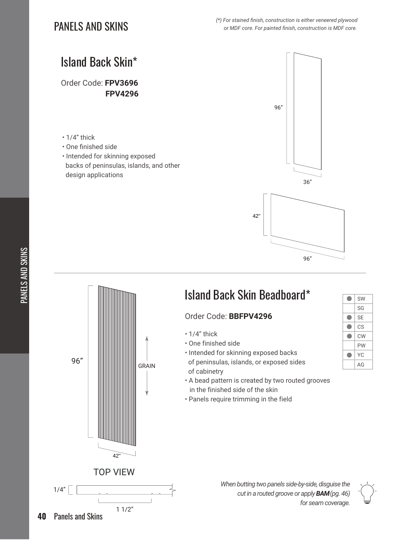# Island Back Skin\* Order Code: **FPV3696** • 1/4" thick • One finished side • Intended for skinning exposed backs of peninsulas, islands, and other design applications 96" 36" 96" **FPV4296** 42"

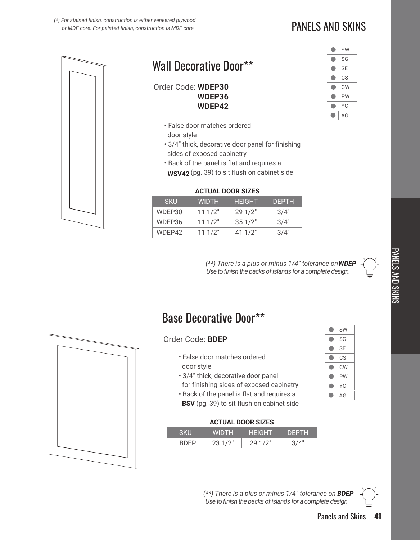*(\*) For stained finish, construction is either veneered plywood or MDF core. For painted finish, construction is MDF core.*



# Wall Decorative Door\*\*

Order Code: **WDEP30 WDEP36 WDEP42**

- False door matches ordered door style
- 3/4" thick, decorative door panel for finishing sides of exposed cabinetry
- Back of the panel is flat and requires a **WSV42** (pg. 39) to sit flush on cabinet side

#### **ACTUAL DOOR SIZES**

| <b>SKU</b> | <b>WIDTH</b> | <b>HEIGHT</b> | DEPTH |
|------------|--------------|---------------|-------|
| WDEP30     | 111/2"       | 291/2"        | 3/4"  |
| WDEP36     | 111/2"       | 351/2"        | 3/4"  |
| WDFP42     | 111/2"       | 411/2"        | 3/4"  |

*(\*\*) There is a plus or minus 1/4" tolerance on WDEP Use to finish the backs of islands for a complete design.* 

| SW        |
|-----------|
| SG        |
| <b>SE</b> |
| СS        |
| <b>CW</b> |
| PW        |
| YС        |
| AG        |
|           |

| п |
|---|
|   |
|   |
|   |
|   |
|   |
|   |
| נ |
|   |
| Ξ |
|   |
|   |
|   |
|   |
|   |
|   |
|   |
|   |
|   |

 $\overline{\phantom{a}}$ 

### Base Decorative Door\*\*

#### Order Code: **BDEP**

- False door matches ordered door style
- 3/4" thick, decorative door panel
- for finishing sides of exposed cabinetry • Back of the panel is flat and requires a
- **BSV** (pg. 39) to sit flush on cabinet side

#### **ACTUAL DOOR SIZES**

| -97 | WIDTH. | HEIGHT | <b>DEPTH</b> |
|-----|--------|--------|--------------|
|     | 231/2" | 291/2" |              |





*(\*\*) There is a plus or minus 1/4" tolerance on BDEP Use to finish the backs of islands for a complete design.*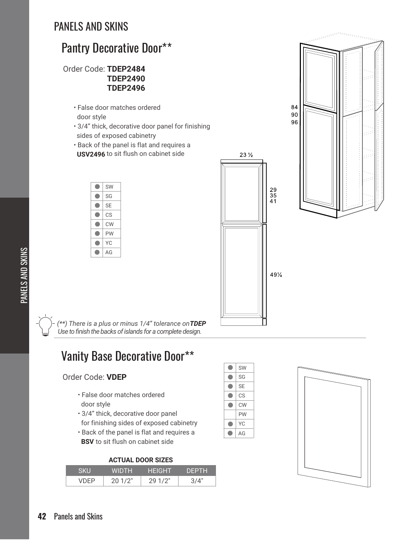# Pantry Decorative Door\*\*

Order Code: **TDEP2484 TDEP2490 TDEP2496**

- False door matches ordered
- door style
- 3/4" thick, decorative door panel for finishing sides of exposed cabinetry
- Back of the panel is flat and requires a **USV2496** to sit flush on cabinet side

|  | SW        |
|--|-----------|
|  | SG        |
|  | <b>SE</b> |
|  | СS        |
|  | <b>CW</b> |
|  | PW        |
|  | YС        |
|  | AG        |



*(\*\*) There is a plus or minus 1/4" tolerance on TDEP Use to finish the backs of islands for a complete design.* 

# Vanity Base Decorative Door\*\*

#### Order Code: **VDEP**

- False door matches ordered door style
- 3/4" thick, decorative door panel for finishing sides of exposed cabinetry
- Back of the panel is flat and requires a **BSV** to sit flush on cabinet side

#### **ACTUAL DOOR SIZES**

| SK. | WIDTH. | 1 - 1 - 1 ( - 1 - 1 1 <b>-</b> | <b>DEPTH</b> |
|-----|--------|--------------------------------|--------------|
|     | 201/2" | 291/2"                         |              |





.<br>1933 - Personalis este estable estableces estableces estableces estableces estableces estableces estableces e<br>1933 - Personalis estableces estableces estableces estableces estableces estableces estableces estableces est

яņ

84 90 96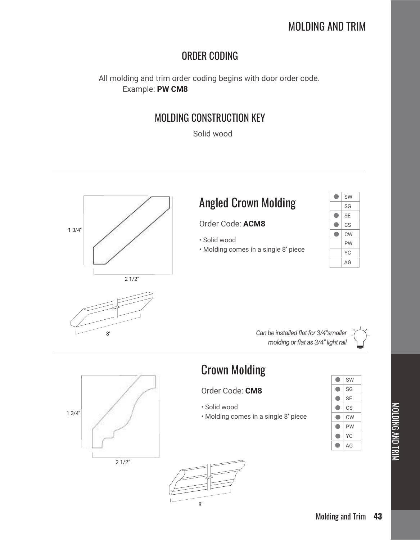### ORDER CODING

All molding and trim order coding begins with door order code. Example: **PW CM8**

### MOLDING CONSTRUCTION KEY

Solid wood



# Angled Crown Molding

Order Code: **ACM8**

• Solid wood

• Molding comes in a single 8' piece

| <b>SW</b> |
|-----------|
| SG        |
| <b>SE</b> |
| СS        |
| <b>CW</b> |
| PW        |
| YС        |
| AG        |

*Can be installed flat for 3/4"smaller molding or flat as 3/4" light rail*



8'

# Crown Molding

#### Order Code: **CM8**

• Solid wood

8'

• Molding comes in a single 8' piece



MOLDING AND TRIM

**MOLDING AND TRIM**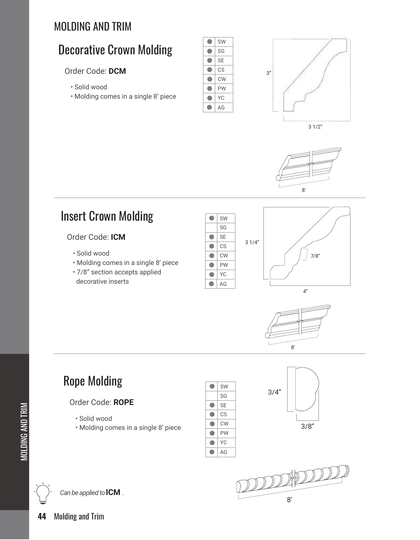# Decorative Crown Molding

#### Order Code: **DCM**

- Solid wood
- Molding comes in a single 8' piece







# Insert Crown Molding

#### Order Code: **ICM**

- Solid wood
- Molding comes in a single 8' piece
- 7/8" section accepts applied decorative inserts







# Rope Molding

#### Order Code: **ROPE**

- Solid wood
- Molding comes in a single 8' piece







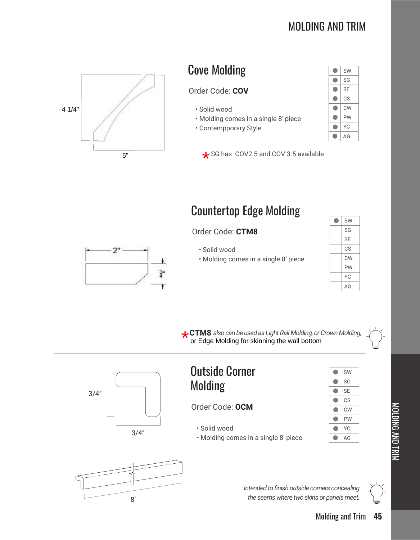

 $2^{\circ}$ 

| <b>Cove Molding</b>                         |  | SW        |
|---------------------------------------------|--|-----------|
|                                             |  | SG        |
| Order Code: <b>COV</b>                      |  | <b>SE</b> |
|                                             |  | CS        |
| • Solid wood                                |  | <b>CW</b> |
| • Molding comes in a single 8' piece        |  | <b>PW</b> |
| • Contempporary Style                       |  | YC        |
|                                             |  | AG        |
| $\star$ SG has COV2.5 and COV 3.5 available |  |           |

# Countertop Edge Molding

Order Code: **CTM8**

- Solid wood
- Molding comes in a single 8' piece

| SW        |
|-----------|
| SG        |
| SE        |
| СS        |
| <b>CW</b> |
| PW        |
| YС        |
| AG        |
|           |

**\*CTM8** also can be used as Light Rail Molding, or Crown Molding, or Edge Molding for skinning the wall bottom or Edge Molding for skinning the wall bottom

# Outside Corner Molding

#### Order Code: **OCM**

- Solid wood
- Molding comes in a single 8' piece





3/4"

3/4"

*Intended to finish outside corners concealing the seams where two skins or panels meet.*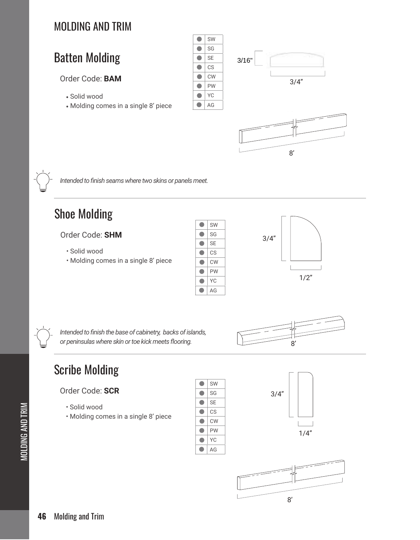# Batten Molding

#### Order Code: **BAM**

- Solid wood
- Molding comes in a single 8' piece







*Intended to finish seams where two skins or panels meet.*

# Shoe Molding

#### Order Code: **SHM**

- Solid wood
- Molding comes in a single 8' piece







MOLDING AND TRIM

MOLDING AND TRIM

*Intended to finish the base of cabinetry, backs of islands, or peninsulas where skin or toe kick meets flooring.*



# Scribe Molding

#### Order Code: **SCR**

- Solid wood
- Molding comes in a single 8' piece





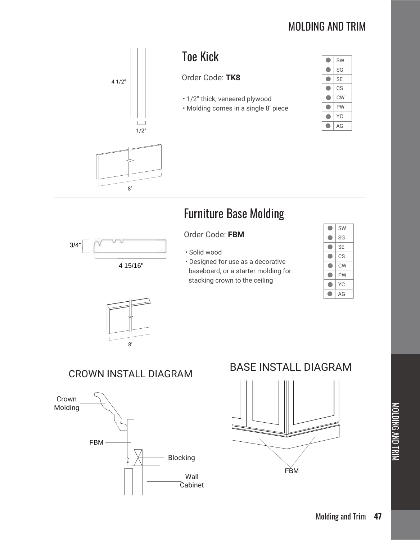

8'

# Toe Kick

Order Code: **TK8**

- 1/2" thick, veneered plywood
- Molding comes in a single 8' piece

| SW        |
|-----------|
| SG        |
| <b>SE</b> |
| СS        |
| <b>CW</b> |
| PW        |
| YС        |
| AG        |

# Furniture Base Molding



4 15/16"

- Solid wood
- Designed for use as a decorative baseboard, or a starter molding for stacking crown to the ceiling

| SW        |  |
|-----------|--|
| SG        |  |
| <b>SE</b> |  |
| СS        |  |
| CW        |  |
| PW        |  |
| YС        |  |
| ΑG        |  |



### CROWN INSTALL DIAGRAM



## BASE INSTALL DIAGRAM

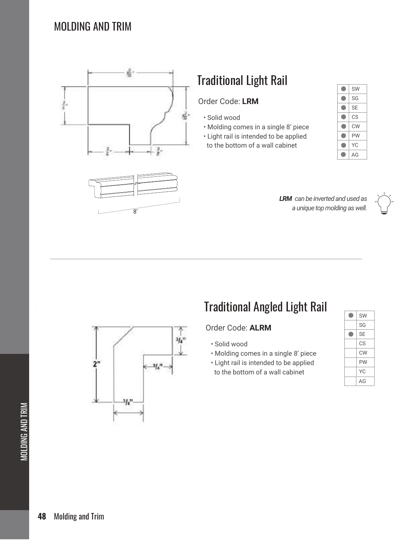

8'



#### Order Code: **LRM**

- Solid wood
- Molding comes in a single 8' piece
- Light rail is intended to be applied to the bottom of a wall cabinet

| SW        |
|-----------|
| SG        |
| <b>SE</b> |
| СS        |
| <b>CW</b> |
| PW        |
| YС        |
| AG        |

*LRM can be inverted and used as a unique top molding as well.*



# $314"$  $\mathbf{2}^{\prime}$  $3^{16}$  $^{3}I_{4}$ "

# Traditional Angled Light Rail

#### Order Code: **ALRM**

- Solid wood
- Molding comes in a single 8' piece
- Light rail is intended to be applied to the bottom of a wall cabinet

| SW        |  |  |  |
|-----------|--|--|--|
| SG        |  |  |  |
| <b>SE</b> |  |  |  |
| CS        |  |  |  |
| <b>CW</b> |  |  |  |
| PW        |  |  |  |
| YC        |  |  |  |
| AG        |  |  |  |
|           |  |  |  |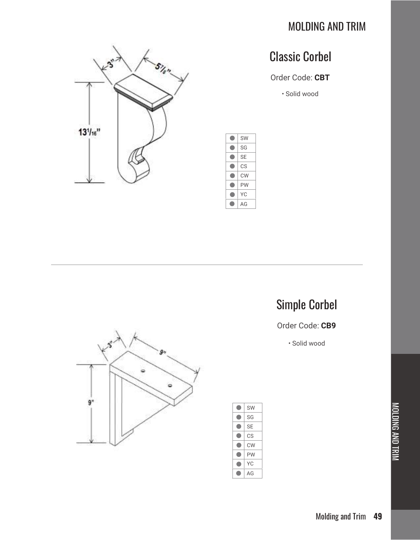

# Classic Corbel

#### Order Code: **CBT**

• Solid wood



# Simple Corbel

Order Code: **CB9**

• Solid wood



| <b>SW</b> |
|-----------|
| SG        |
| <b>SE</b> |
| CS        |
| <b>CW</b> |
| PW        |
| YС        |
| AG        |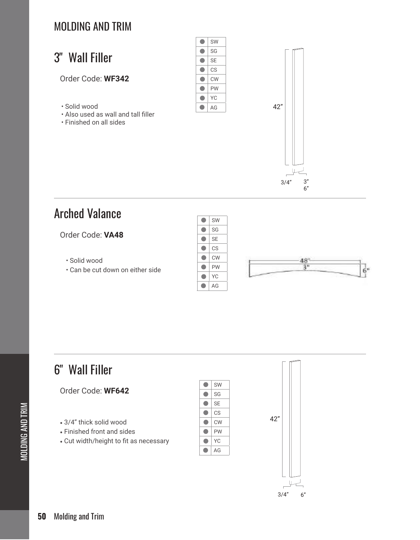# 3" Wall Filler

#### Order Code: **WF342**

- Solid wood
- Also used as wall and tall filler
- Finished on all sides



SG SE CS

 $\bullet$  $\bullet$  $\bullet$  $\bullet$  $\bullet$ 

 $\bullet$ 

 $\bullet$  $\bullet$  YC AG



# Arched Valance

#### Order Code: **VA48**

- Solid wood
- Can be cut down on either side



# 6" Wall Filler

#### Order Code: **WF642**

- 3/4" thick solid wood
- Finished front and sides
- Cut width/height to fit as necessary



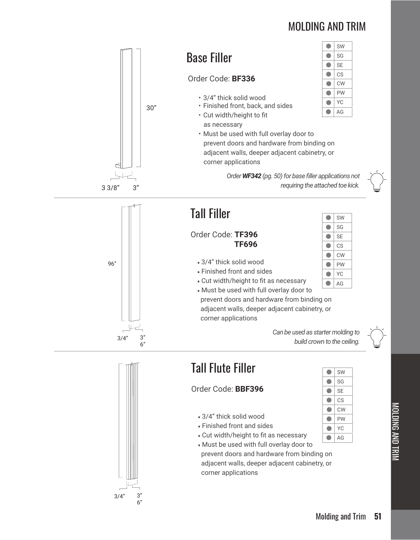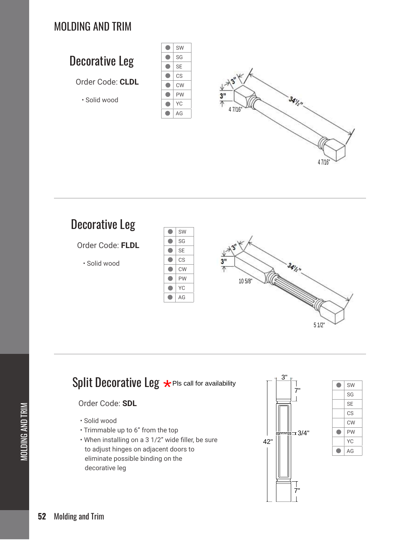



# ${\sf Split \, Decorative \, Leg} \star {\sf \tiny PIs \, call \, for \, availability}$

#### Order Code: **SDL**

- Solid wood
- Trimmable up to 6" from the top
- When installing on a 3 1/2" wide filler, be sure to adjust hinges on adjacent doors to eliminate possible binding on the decorative leg





4 7/16"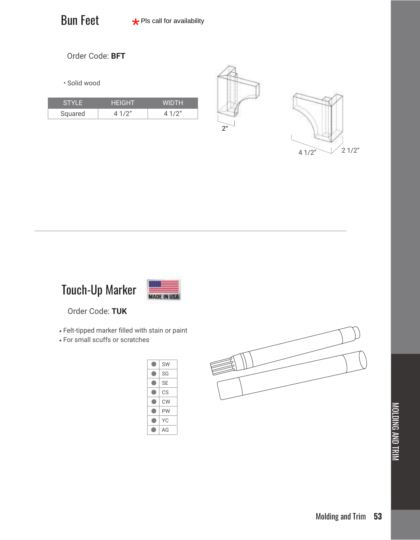

Order Code: **BFT**

• Solid wood

| SIYE.   | <b>HEIGHT</b>  | WIDTH |
|---------|----------------|-------|
| Squared | $\Lambda$ 1/2" | 41/2" |









Order Code: **TUK**

• Felt-tipped marker filled with stain or paint

• For small scuffs or scratches

| SW        |
|-----------|
| SG        |
| <b>SE</b> |
| СS        |
| <b>CW</b> |
| PW        |
| YС        |
| AG        |
|           |

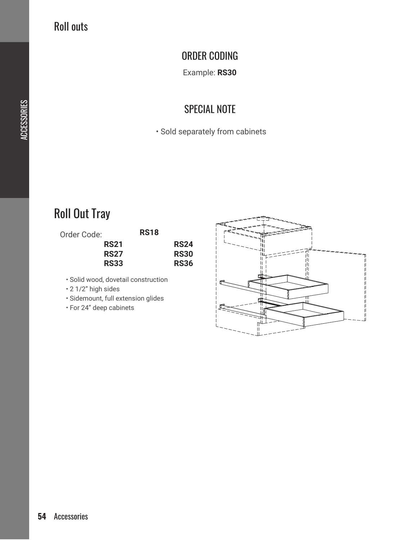## Roll outs

### ORDER CODING

Example: **RS30**

### SPECIAL NOTE

• Sold separately from cabinets

# Roll Out Tray

| Order Code: | <b>RS18</b> |             |
|-------------|-------------|-------------|
| <b>RS21</b> |             | <b>RS24</b> |
| <b>RS27</b> |             | <b>RS30</b> |
| <b>RS33</b> |             | <b>RS36</b> |

- Solid wood, dovetail construction
- 2 1/2" high sides
- Sidemount, full extension glides
- For 24" deep cabinets

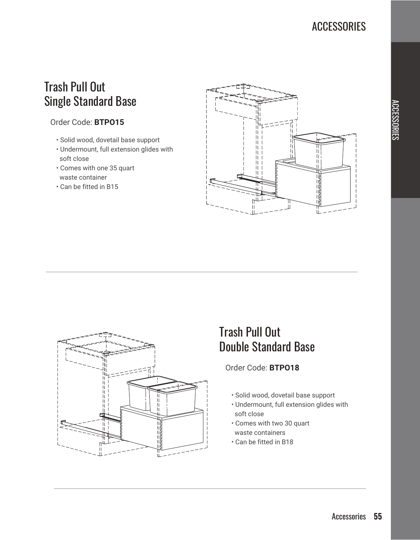# Trash Pull Out Single Standard Base

Order Code: **BTPO15**

- Solid wood, dovetail base support
- Undermount, full extension glides with soft close
- Comes with one 35 quart waste container
- Can be fitted in B15





# Trash Pull Out Double Standard Base

Order Code: **BTPO18**

- Solid wood, dovetail base support
- Undermount, full extension glides with soft close
- Comes with two 30 quart waste containers
- Can be fitted in B18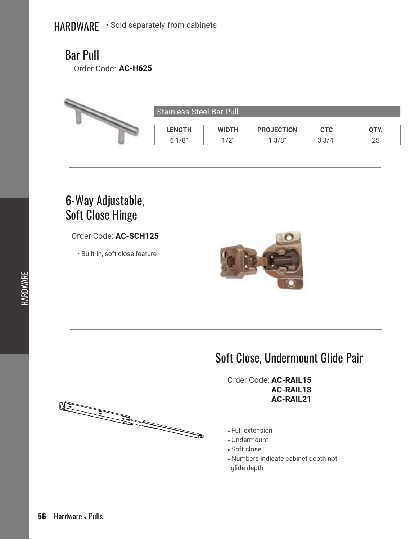### Bar Pull

Order Code: AC-H625



#### Stainless Steel Bar Pull

| <b>LENGTH</b>     | <b>WIDTH</b>        | <b>PROJECTION</b> | СТС   | .        |
|-------------------|---------------------|-------------------|-------|----------|
| .110 <sup>n</sup> | 1/0''<br>$\sqrt{2}$ | 1.3/8"<br>J/O     | 33/4" | つに<br>∠J |

### 6-Way Adjustable, Soft Close Hinge

#### Order Code: **AC-SCH125**

• Built-in, soft close feature



### Soft Close, Undermount Glide Pair

Order Code: **AC-RAIL15 AC-RAIL18 AC-RAIL21**

- Full extension
- Undermount
- Soft close
- Numbers indicate cabinet depth not glide depth

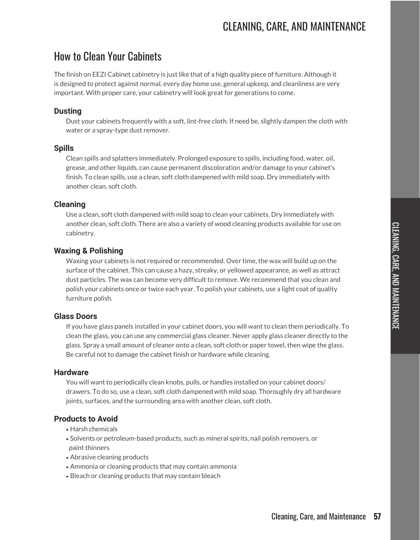### CLEANING, CARE, AND MAINTENANCE

#### How to Clean Your Cabinets

The finish on EEZI Cabinet cabinetry is just like that of a high quality piece of furniture. Although it is designed to protect against normal, every day home use, general upkeep, and cleanliness are very important. With proper care, your cabinetry will look great for generations to come.

#### **Dusting**

Dust your cabinets frequently with a soft, lint-free cloth. If need be, slightly dampen the cloth with water or a spray-type dust remover.

#### **Spills**

Clean spills and splatters immediately. Prolonged exposure to spills, including food, water, oil, grease, and other liquids, can cause permanent discoloration and/or damage to your cabinet's finish. To clean spills, use a clean, soft cloth dampened with mild soap. Dry immediately with another clean, soft cloth.

#### **Cleaning**

Use a clean, soft cloth dampened with mild soap to clean your cabinets. Dry immediately with another clean, soft cloth. There are also a variety of wood cleaning products available for use on cabinetry.

#### **Waxing & Polishing**

Waxing your cabinets is not required or recommended. Over time, the wax will build up on the surface of the cabinet. This can cause a hazy, streaky, or yellowed appearance, as well as attract dust particles. The wax can become very difficult to remove. We recommend that you clean and polish your cabinets once or twice each year. To polish your cabinets, use a light coat of quality furniture polish.

#### **Glass Doors**

If you have glass panels installed in your cabinet doors, you will want to clean them periodically. To clean the glass, you can use any commercial glass cleaner. Never apply glass cleaner directly to the glass. Spray a small amount of cleaner onto a clean, soft cloth or paper towel, then wipe the glass. Be careful not to damage the cabinet finish or hardware while cleaning.

#### **Hardware**

You will want to periodically clean knobs, pulls, or handles installed on your cabinet doors/ drawers. To do so, use a clean, soft cloth dampened with mild soap. Thoroughly dry all hardware joints, surfaces, and the surrounding area with another clean, soft cloth.

#### **Products to Avoid**

- Harsh chemicals
- Solvents or petroleum-based products, such as mineral spirits, nail polish removers, or paint thinners
- Abrasive cleaning products
- Ammonia or cleaning products that may contain ammonia
- Bleach or cleaning products that may contain bleach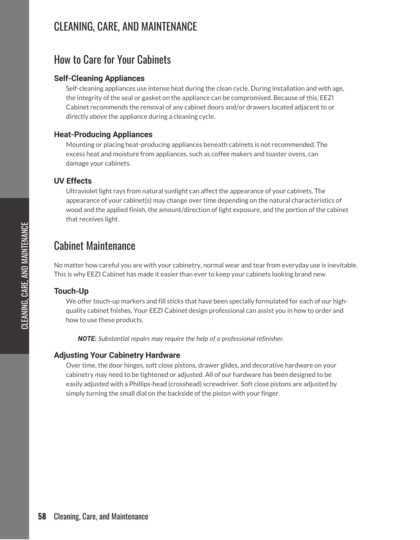### CLEANING, CARE, AND MAINTENANCE

#### How to Care for Your Cabinets

#### **Self-Cleaning Appliances**

Self-cleaning appliances use intense heat during the clean cycle. During installation and with age, the integrity of the seal or gasket on the appliance can be compromised. Because of this, EEZI Cabinet recommends the removal of any cabinet doors and/or drawers located adjacent to or directly above the appliance during a cleaning cycle.

#### **Heat-Producing Appliances**

Mounting or placing heat-producing appliances beneath cabinets is not recommended. The excess heat and moisture from appliances, such as coffee makers and toaster ovens, can damage your cabinets.

#### **UV Effects**

Ultraviolet light rays from natural sunlight can affect the appearance of your cabinets. The appearance of your cabinet(s) may change over time depending on the natural characteristics of wood and the applied finish, the amount/direction of light exposure, and the portion of the cabinet that receives light.

### Cabinet Maintenance

No matter how careful you are with your cabinetry, normal wear and tear from everyday use is inevitable. This is why EEZI Cabinet has made it easier than ever to keep your cabinets looking brand new.

#### **Touch-Up**

We offer touch-up markers and fill sticks that have been specially formulated for each of our highquality cabinet fnishes. Your EEZI Cabinet design professional can assist you in how to order and how to use these products.

*NOTE: Substantial repairs may require the help of a professional refinisher.*

#### **Adjusting Your Cabinetry Hardware**

Over time, the door hinges, soft close pistons, drawer glides, and decorative hardware on your cabinetry may need to be tightened or adjusted. All of our hardware has been designed to be easily adjusted with a Phillips-head (crosshead) screwdriver. Soft close pistons are adjusted by simply turning the small dial on the backside of the piston with your finger.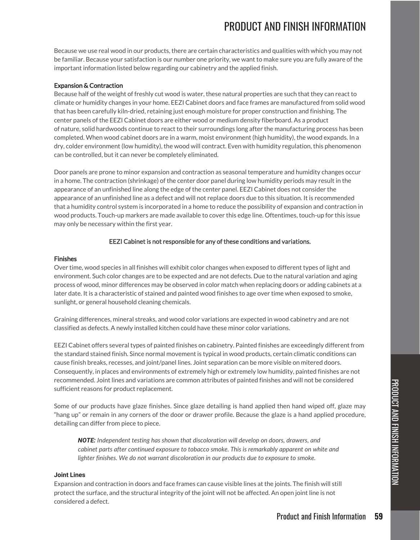### PRODUCT AND FINISH INFORMATION

Because we use real wood in our products, there are certain characteristics and qualities with which you may not be familiar. Because your satisfaction is our number one priority, we want to make sure you are fully aware of the important information listed below regarding our cabinetry and the applied finish.

#### Expansion & Contraction

Because half of the weight of freshly cut wood is water, these natural properties are such that they can react to climate or humidity changes in your home. EEZI Cabinet doors and face frames are manufactured from solid wood that has been carefully kiln-dried, retaining just enough moisture for proper construction and finishing. The center panels of the EEZI Cabinet doors are either wood or medium density fiberboard. As a product of nature, solid hardwoods continue to react to their surroundings long after the manufacturing process has been completed. When wood cabinet doors are in a warm, moist environment (high humidity), the wood expands. In a dry, colder environment (low humidity), the wood will contract. Even with humidity regulation, this phenomenon can be controlled, but it can never be completely eliminated.

Door panels are prone to minor expansion and contraction as seasonal temperature and humidity changes occur in a home. The contraction (shrinkage) of the center door panel during low humidity periods may result in the appearance of an unfinished line along the edge of the center panel. EEZI Cabinet does not consider the appearance of an unfinished line as a defect and will not replace doors due to this situation. It is recommended that a humidity control system is incorporated in a home to reduce the possibility of expansion and contraction in wood products. Touch-up markers are made available to cover this edge line. Oftentimes, touch-up for this issue may only be necessary within the first year.

#### EEZI Cabinet is not responsible for any of these conditions and variations.

#### **Finishes**

Over time, wood species in all finishes will exhibit color changes when exposed to different types of light and environment. Such color changes are to be expected and are not defects. Due to the natural variation and aging process of wood, minor differences may be observed in color match when replacing doors or adding cabinets at a later date. It is a characteristic of stained and painted wood finishes to age over time when exposed to smoke, sunlight, or general household cleaning chemicals.

Graining differences, mineral streaks, and wood color variations are expected in wood cabinetry and are not classified as defects. A newly installed kitchen could have these minor color variations.

EEZI Cabinet offers several types of painted finishes on cabinetry. Painted finishes are exceedingly different from the standard stained finish. Since normal movement is typical in wood products, certain climatic conditions can cause finish breaks, recesses, and joint/panel lines. Joint separation can be more visible on mitered doors. Consequently, in places and environments of extremely high or extremely low humidity, painted finishes are not recommended. Joint lines and variations are common attributes of painted finishes and will not be considered sufficient reasons for product replacement.

Some of our products have glaze finishes. Since glaze detailing is hand applied then hand wiped off, glaze may "hang up" or remain in any corners of the door or drawer profile. Because the glaze is a hand applied procedure, detailing can differ from piece to piece.

*NOTE: Independent testing has shown that discoloration will develop on doors, drawers, and cabinet parts after continued exposure to tobacco smoke. This is remarkably apparent on white and lighter finishes. We do not warrant discoloration in our products due to exposure to smoke.*

#### **Joint Lines**

Expansion and contraction in doors and face frames can cause visible lines at the joints. The finish will still protect the surface, and the structural integrity of the joint will not be affected. An open joint line is not considered a defect.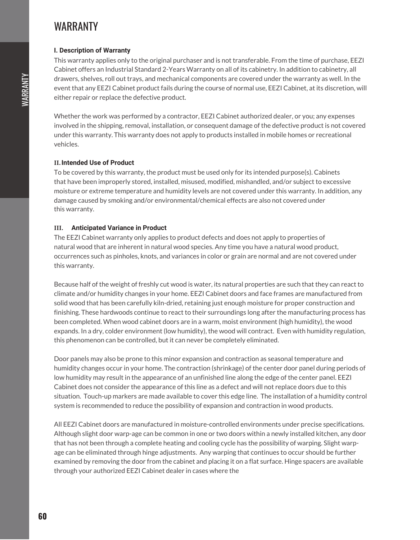### WARRANTY

#### **I. Description of Warranty**

This warranty applies only to the original purchaser and is not transferable. From the time of purchase, EEZI Cabinet offers an Industrial Standard 2-Years Warranty on all of its cabinetry. In addition to cabinetry, all drawers, shelves, roll out trays, and mechanical components are covered under the warranty as well. In the event that any EEZI Cabinet product fails during the course of normal use, EEZI Cabinet, at its discretion, will either repair or replace the defective product.

Whether the work was performed by a contractor, EEZI Cabinet authorized dealer, or you; any expenses involved in the shipping, removal, installation, or consequent damage of the defective product is not covered under this warranty. This warranty does not apply to products installed in mobile homes or recreational vehicles.

#### **II.Intended Use of Product**

To be covered by this warranty, the product must be used only for its intended purpose(s). Cabinets that have been improperly stored, installed, misused, modified, mishandled, and/or subject to excessive moisture or extreme temperature and humidity levels are not covered under this warranty. In addition, any damage caused by smoking and/or environmental/chemical effects are also not covered under this warranty.

#### **III. Anticipated Variance in Product**

The EEZI Cabinet warranty only applies to product defects and does not apply to properties of natural wood that are inherent in natural wood species. Any time you have a natural wood product, occurrences such as pinholes, knots, and variances in color or grain are normal and are not covered under this warranty.

Because half of the weight of freshly cut wood is water, its natural properties are such that they can react to climate and/or humidity changes in your home. EEZI Cabinet doors and face frames are manufactured from solid wood that has been carefully kiln-dried, retaining just enough moisture for proper construction and finishing. These hardwoods continue to react to their surroundings long after the manufacturing process has been completed. When wood cabinet doors are in a warm, moist environment (high humidity), the wood expands. In a dry, colder environment (low humidity), the wood will contract. Even with humidity regulation, this phenomenon can be controlled, but it can never be completely eliminated.

Door panels may also be prone to this minor expansion and contraction as seasonal temperature and humidity changes occur in your home. The contraction (shrinkage) of the center door panel during periods of low humidity may result in the appearance of an unfinished line along the edge of the center panel. EEZI Cabinet does not consider the appearance of this line as a defect and will not replace doors due to this situation. Touch-up markers are made available to cover this edge line. The installation of a humidity control system is recommended to reduce the possibility of expansion and contraction in wood products.

All EEZI Cabinet doors are manufactured in moisture-controlled environments under precise specifications. Although slight door warp-age can be common in one or two doors within a newly installed kitchen, any door that has not been through a complete heating and cooling cycle has the possibility of warping. Slight warpage can be eliminated through hinge adjustments. Any warping that continues to occur should be further examined by removing the door from the cabinet and placing it on a flat surface. Hinge spacers are available through your authorized EEZI Cabinet dealer in cases where the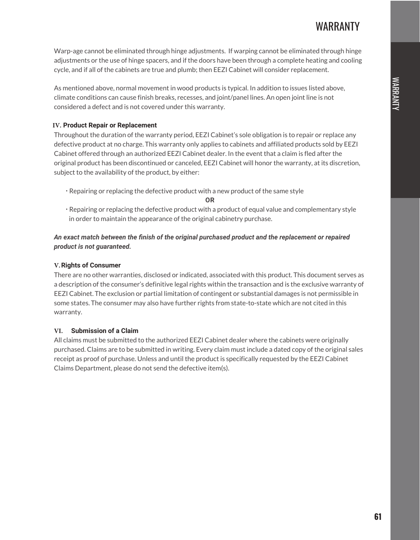Warp-age cannot be eliminated through hinge adjustments. If warping cannot be eliminated through hinge adjustments or the use of hinge spacers, and if the doors have been through a complete heating and cooling cycle, and if all of the cabinets are true and plumb; then EEZI Cabinet will consider replacement.

As mentioned above, normal movement in wood products is typical. In addition to issues listed above, climate conditions can cause finish breaks, recesses, and joint/panel lines. An open joint line is not considered a defect and is not covered under this warranty.

#### **IV. Product Repair or Replacement**

Throughout the duration of the warranty period, EEZI Cabinet's sole obligation is to repair or replace any defective product at no charge. This warranty only applies to cabinets and affiliated products sold by EEZI Cabinet offered through an authorized EEZI Cabinet dealer. In the event that a claim is fled after the original product has been discontinued or canceled, EEZI Cabinet will honor the warranty, at its discretion, subject to the availability of the product, by either:

**·** Repairing or replacing the defective product with a new product of the same style

**OR**

**·** Repairing or replacing the defective product with a product of equal value and complementary style in order to maintain the appearance of the original cabinetry purchase.

#### *An exact match between the finish of the original purchased product and the replacement or repaired product is not guaranteed.*

#### **V.Rights of Consumer**

There are no other warranties, disclosed or indicated, associated with this product. This document serves as a description of the consumer's definitive legal rights within the transaction and is the exclusive warranty of EEZI Cabinet. The exclusion or partial limitation of contingent or substantial damages is not permissible in some states. The consumer may also have further rights from state-to-state which are not cited in this warranty.

#### **VI. Submission of a Claim**

All claims must be submitted to the authorized EEZI Cabinet dealer where the cabinets were originally purchased. Claims are to be submitted in writing. Every claim must include a dated copy of the original sales receipt as proof of purchase. Unless and until the product is specifically requested by the EEZI Cabinet Claims Department, please do not send the defective item(s).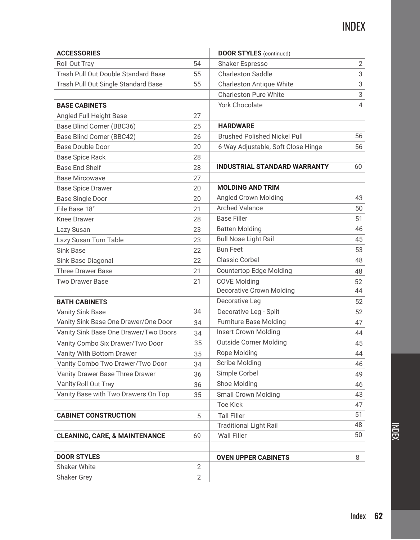## INDEX

| <b>ACCESSORIES</b>                       |                | <b>DOOR STYLES</b> (continued)      |                |
|------------------------------------------|----------------|-------------------------------------|----------------|
| Roll Out Tray                            | 54             | Shaker Espresso                     | $\overline{2}$ |
| Trash Pull Out Double Standard Base      | 55             | <b>Charleston Saddle</b>            | 3              |
| Trash Pull Out Single Standard Base      | 55             | <b>Charleston Antique White</b>     | 3              |
|                                          |                | <b>Charleston Pure White</b>        | 3              |
| <b>BASE CABINETS</b>                     |                | <b>York Chocolate</b>               | 4              |
| Angled Full Height Base                  | 27             |                                     |                |
| Base Blind Corner (BBC36)                | 25             | <b>HARDWARE</b>                     |                |
| Base Blind Corner (BBC42)                | 26             | <b>Brushed Polished Nickel Pull</b> | 56             |
| <b>Base Double Door</b>                  | 20             | 6-Way Adjustable, Soft Close Hinge  | 56             |
| <b>Base Spice Rack</b>                   | 28             |                                     |                |
| <b>Base End Shelf</b>                    | 28             | <b>INDUSTRIAL STANDARD WARRANTY</b> | 60             |
| <b>Base Mircowave</b>                    | 27             |                                     |                |
| <b>Base Spice Drawer</b>                 | 20             | <b>MOLDING AND TRIM</b>             |                |
| <b>Base Single Door</b>                  | 20             | Angled Crown Molding                | 43             |
| File Base 18"                            | 21             | <b>Arched Valance</b>               | 50             |
| <b>Knee Drawer</b>                       | 28             | <b>Base Filler</b>                  | 51             |
| Lazy Susan                               | 23             | <b>Batten Molding</b>               | 46             |
| Lazy Susan Turn Table                    | 23             | <b>Bull Nose Light Rail</b>         | 45             |
| <b>Sink Base</b>                         | 22             | <b>Bun Feet</b>                     | 53             |
| Sink Base Diagonal                       | 22             | <b>Classic Corbel</b>               | 48             |
| <b>Three Drawer Base</b>                 | 21             | <b>Countertop Edge Molding</b>      | 48             |
| <b>Two Drawer Base</b>                   | 21             | <b>COVE Molding</b>                 | 52             |
|                                          |                | <b>Decorative Crown Molding</b>     | 44             |
| <b>BATH CABINETS</b>                     |                | Decorative Leg                      | 52             |
| <b>Vanity Sink Base</b>                  | 34             | Decorative Leg - Split              | 52             |
| Vanity Sink Base One Drawer/One Door     | 34             | <b>Furniture Base Molding</b>       | 47             |
| Vanity Sink Base One Drawer/Two Doors    | 34             | <b>Insert Crown Molding</b>         | 44             |
| Vanity Combo Six Drawer/Two Door         | 35             | <b>Outside Corner Molding</b>       | 45             |
| Vanity With Bottom Drawer                | 35             | Rope Molding                        | 44             |
| Vanity Combo Two Drawer/Two Door         | 34             | <b>Scribe Molding</b>               | 46             |
| Vanity Drawer Base Three Drawer          | 36             | Simple Corbel                       | 49             |
| Vanity Roll Out Tray                     | 36             | Shoe Molding                        | 46             |
| Vanity Base with Two Drawers On Top      | 35             | <b>Small Crown Molding</b>          | 43             |
|                                          |                | <b>Toe Kick</b>                     | 47             |
| <b>CABINET CONSTRUCTION</b>              | 5              | <b>Tall Filler</b>                  | 51             |
|                                          |                | <b>Traditional Light Rail</b>       | 48             |
| <b>CLEANING, CARE, &amp; MAINTENANCE</b> | 69             | <b>Wall Filler</b>                  | 50             |
| <b>DOOR STYLES</b>                       |                |                                     |                |
| Shaker White                             |                | <b>OVEN UPPER CABINETS</b>          | 8              |
|                                          | 2              |                                     |                |
| <b>Shaker Grey</b>                       | $\overline{2}$ |                                     |                |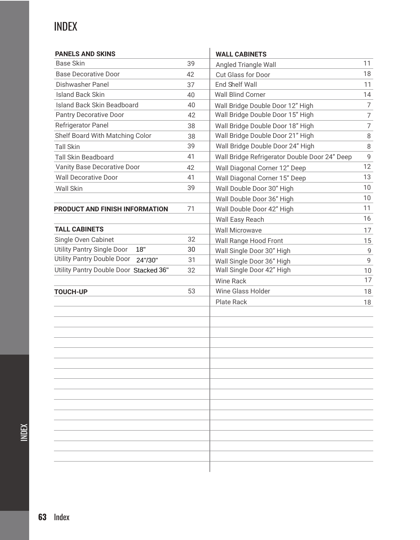### INDEX

| <b>PANELS AND SKINS</b>                  |    | <b>WALL CABINETS</b>                          |                |
|------------------------------------------|----|-----------------------------------------------|----------------|
| <b>Base Skin</b>                         | 39 | Angled Triangle Wall                          | 11             |
| <b>Base Decorative Door</b>              | 42 | <b>Cut Glass for Door</b>                     | 18             |
| Dishwasher Panel                         | 37 | End Shelf Wall                                | 11             |
| <b>Island Back Skin</b>                  | 40 | <b>Wall Blind Corner</b>                      |                |
| <b>Island Back Skin Beadboard</b>        | 40 | Wall Bridge Double Door 12" High              |                |
| Pantry Decorative Door                   | 42 | Wall Bridge Double Door 15" High              | $\overline{7}$ |
| Refrigerator Panel                       | 38 | Wall Bridge Double Door 18" High              | $\overline{7}$ |
| Shelf Board With Matching Color          | 38 | Wall Bridge Double Door 21" High              | 8              |
| <b>Tall Skin</b>                         | 39 | Wall Bridge Double Door 24" High              | 8              |
| <b>Tall Skin Beadboard</b>               | 41 | Wall Bridge Refrigerator Double Door 24" Deep | 9              |
| Vanity Base Decorative Door              | 42 | Wall Diagonal Corner 12" Deep                 | 12             |
| <b>Wall Decorative Door</b>              | 41 | Wall Diagonal Corner 15" Deep                 | 13             |
| <b>Wall Skin</b>                         | 39 | Wall Double Door 30" High                     | 10             |
|                                          |    | Wall Double Door 36" High                     | 10             |
| PRODUCT AND FINISH INFORMATION           | 71 | Wall Double Door 42" High                     | 11             |
|                                          |    | Wall Easy Reach                               | 16             |
| <b>TALL CABINETS</b>                     |    | <b>Wall Microwave</b>                         | 17             |
| Single Oven Cabinet                      | 32 | Wall Range Hood Front                         | 15             |
| <b>Utility Pantry Single Door</b><br>18" | 30 | Wall Single Door 30" High                     | 9              |
| Utility Pantry Double Door<br>24"/30"    | 31 | Wall Single Door 36" High                     | 9              |
| Utility Pantry Double Door Stacked 36"   | 32 | Wall Single Door 42" High                     | 10             |
|                                          |    | <b>Wine Rack</b>                              | 17             |
| <b>TOUCH-UP</b>                          | 53 | Wine Glass Holder                             | 18             |
|                                          |    | Plate Rack                                    | 18             |
|                                          |    |                                               |                |
|                                          |    |                                               |                |
|                                          |    |                                               |                |
|                                          |    |                                               |                |
|                                          |    |                                               |                |
|                                          |    |                                               |                |
|                                          |    |                                               |                |
|                                          |    |                                               |                |
|                                          |    |                                               |                |
|                                          |    |                                               |                |
|                                          |    |                                               |                |
|                                          |    |                                               |                |
|                                          |    |                                               |                |
|                                          |    |                                               |                |
|                                          |    |                                               |                |
|                                          |    |                                               |                |